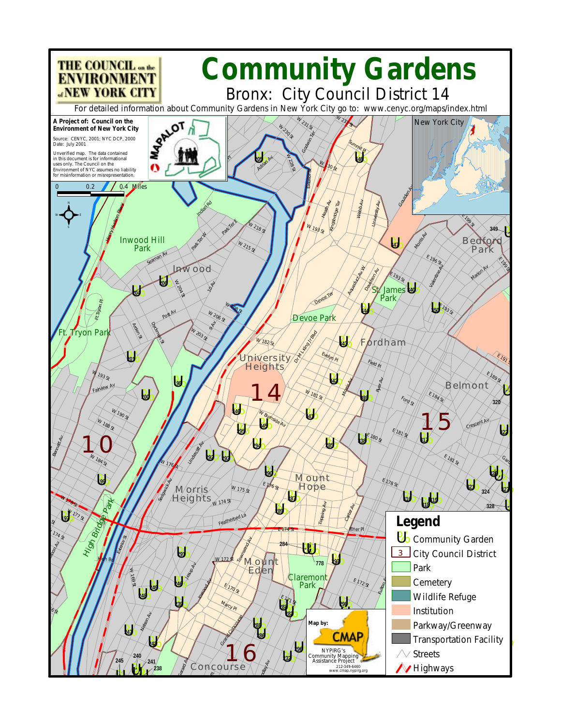